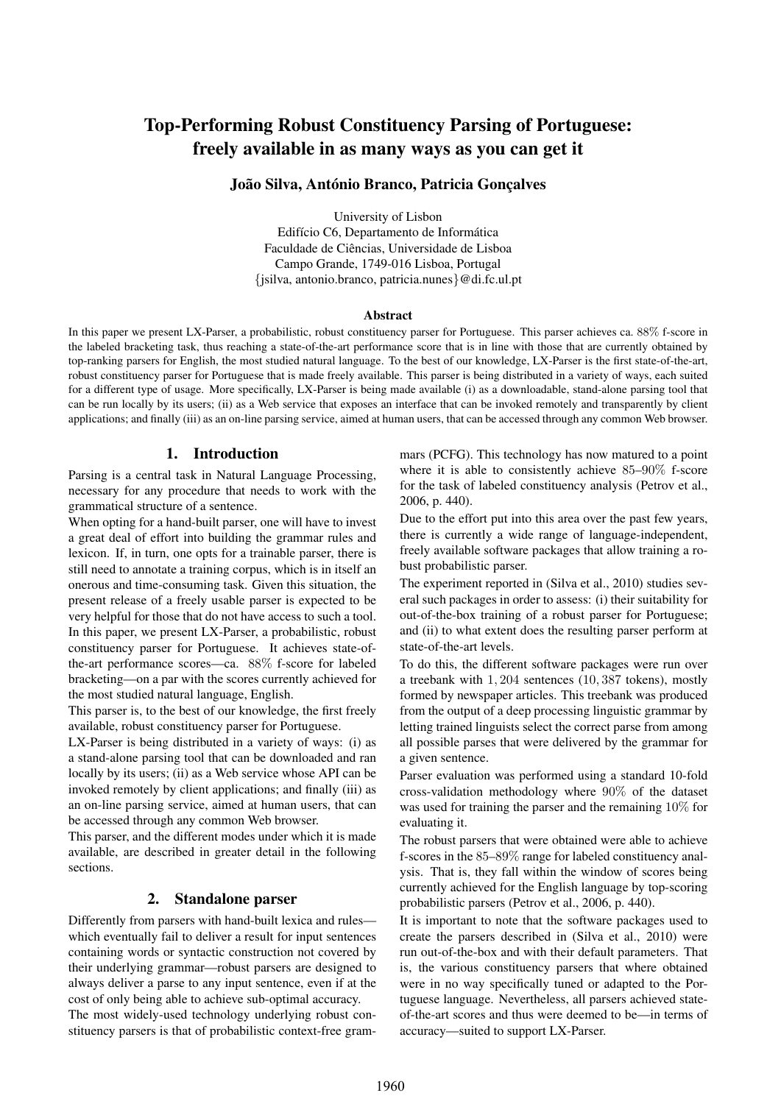# Top-Performing Robust Constituency Parsing of Portuguese: freely available in as many ways as you can get it

# João Silva, António Branco, Patricia Gonçalves

University of Lisbon Edifício C6, Departamento de Informática Faculdade de Ciencias, Universidade de Lisboa ˆ Campo Grande, 1749-016 Lisboa, Portugal {jsilva, antonio.branco, patricia.nunes}@di.fc.ul.pt

#### Abstract

In this paper we present LX-Parser, a probabilistic, robust constituency parser for Portuguese. This parser achieves ca. 88% f-score in the labeled bracketing task, thus reaching a state-of-the-art performance score that is in line with those that are currently obtained by top-ranking parsers for English, the most studied natural language. To the best of our knowledge, LX-Parser is the first state-of-the-art, robust constituency parser for Portuguese that is made freely available. This parser is being distributed in a variety of ways, each suited for a different type of usage. More specifically, LX-Parser is being made available (i) as a downloadable, stand-alone parsing tool that can be run locally by its users; (ii) as a Web service that exposes an interface that can be invoked remotely and transparently by client applications; and finally (iii) as an on-line parsing service, aimed at human users, that can be accessed through any common Web browser.

# 1. Introduction

Parsing is a central task in Natural Language Processing, necessary for any procedure that needs to work with the grammatical structure of a sentence.

When opting for a hand-built parser, one will have to invest a great deal of effort into building the grammar rules and lexicon. If, in turn, one opts for a trainable parser, there is still need to annotate a training corpus, which is in itself an onerous and time-consuming task. Given this situation, the present release of a freely usable parser is expected to be very helpful for those that do not have access to such a tool. In this paper, we present LX-Parser, a probabilistic, robust constituency parser for Portuguese. It achieves state-ofthe-art performance scores—ca. 88% f-score for labeled bracketing—on a par with the scores currently achieved for the most studied natural language, English.

This parser is, to the best of our knowledge, the first freely available, robust constituency parser for Portuguese.

LX-Parser is being distributed in a variety of ways: (i) as a stand-alone parsing tool that can be downloaded and ran locally by its users; (ii) as a Web service whose API can be invoked remotely by client applications; and finally (iii) as an on-line parsing service, aimed at human users, that can be accessed through any common Web browser.

This parser, and the different modes under which it is made available, are described in greater detail in the following sections.

# 2. Standalone parser

Differently from parsers with hand-built lexica and rules which eventually fail to deliver a result for input sentences containing words or syntactic construction not covered by their underlying grammar—robust parsers are designed to always deliver a parse to any input sentence, even if at the cost of only being able to achieve sub-optimal accuracy.

The most widely-used technology underlying robust constituency parsers is that of probabilistic context-free grammars (PCFG). This technology has now matured to a point where it is able to consistently achieve 85–90% f-score for the task of labeled constituency analysis (Petrov et al., 2006, p. 440).

Due to the effort put into this area over the past few years, there is currently a wide range of language-independent, freely available software packages that allow training a robust probabilistic parser.

The experiment reported in (Silva et al., 2010) studies several such packages in order to assess: (i) their suitability for out-of-the-box training of a robust parser for Portuguese; and (ii) to what extent does the resulting parser perform at state-of-the-art levels.

To do this, the different software packages were run over a treebank with 1, 204 sentences (10, 387 tokens), mostly formed by newspaper articles. This treebank was produced from the output of a deep processing linguistic grammar by letting trained linguists select the correct parse from among all possible parses that were delivered by the grammar for a given sentence.

Parser evaluation was performed using a standard 10-fold cross-validation methodology where 90% of the dataset was used for training the parser and the remaining 10% for evaluating it.

The robust parsers that were obtained were able to achieve f-scores in the 85–89% range for labeled constituency analysis. That is, they fall within the window of scores being currently achieved for the English language by top-scoring probabilistic parsers (Petrov et al., 2006, p. 440).

It is important to note that the software packages used to create the parsers described in (Silva et al., 2010) were run out-of-the-box and with their default parameters. That is, the various constituency parsers that where obtained were in no way specifically tuned or adapted to the Portuguese language. Nevertheless, all parsers achieved stateof-the-art scores and thus were deemed to be—in terms of accuracy—suited to support LX-Parser.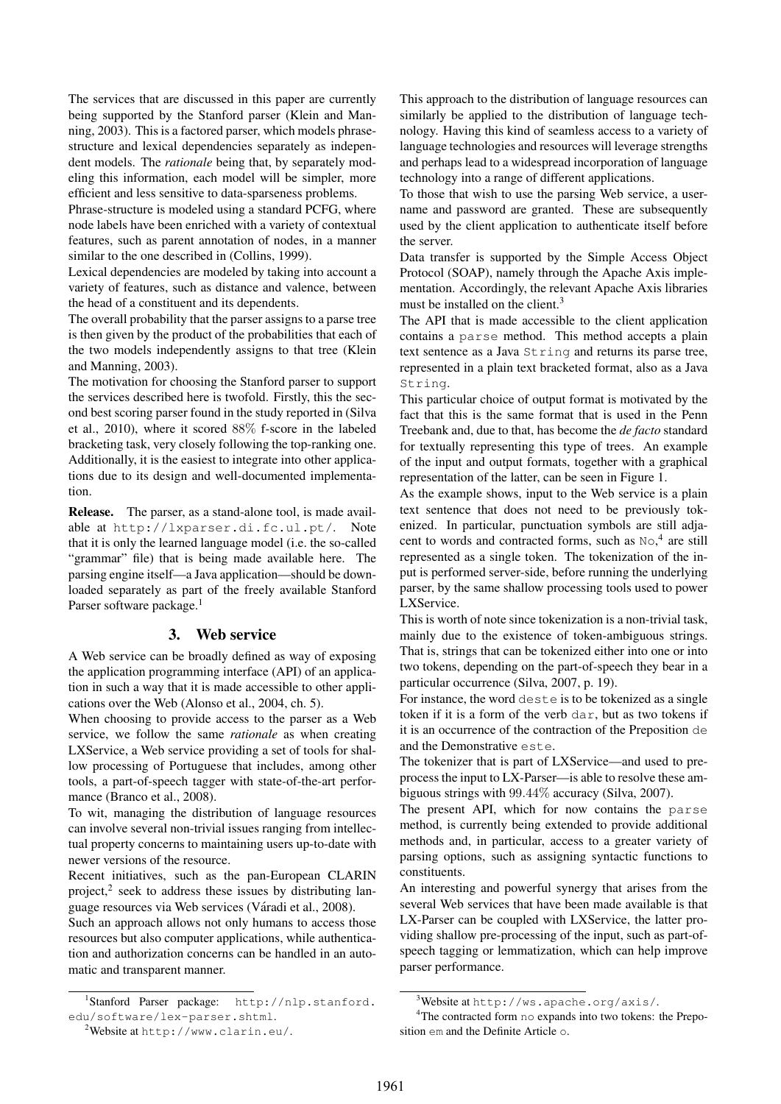The services that are discussed in this paper are currently being supported by the Stanford parser (Klein and Manning, 2003). This is a factored parser, which models phrasestructure and lexical dependencies separately as independent models. The *rationale* being that, by separately modeling this information, each model will be simpler, more efficient and less sensitive to data-sparseness problems.

Phrase-structure is modeled using a standard PCFG, where node labels have been enriched with a variety of contextual features, such as parent annotation of nodes, in a manner similar to the one described in (Collins, 1999).

Lexical dependencies are modeled by taking into account a variety of features, such as distance and valence, between the head of a constituent and its dependents.

The overall probability that the parser assigns to a parse tree is then given by the product of the probabilities that each of the two models independently assigns to that tree (Klein and Manning, 2003).

The motivation for choosing the Stanford parser to support the services described here is twofold. Firstly, this the second best scoring parser found in the study reported in (Silva et al., 2010), where it scored 88% f-score in the labeled bracketing task, very closely following the top-ranking one. Additionally, it is the easiest to integrate into other applications due to its design and well-documented implementation.

Release. The parser, as a stand-alone tool, is made available at http://lxparser.di.fc.ul.pt/. Note that it is only the learned language model (i.e. the so-called "grammar" file) that is being made available here. The parsing engine itself—a Java application—should be downloaded separately as part of the freely available Stanford Parser software package.<sup>1</sup>

## 3. Web service

A Web service can be broadly defined as way of exposing the application programming interface (API) of an application in such a way that it is made accessible to other applications over the Web (Alonso et al., 2004, ch. 5).

When choosing to provide access to the parser as a Web service, we follow the same *rationale* as when creating LXService, a Web service providing a set of tools for shallow processing of Portuguese that includes, among other tools, a part-of-speech tagger with state-of-the-art performance (Branco et al., 2008).

To wit, managing the distribution of language resources can involve several non-trivial issues ranging from intellectual property concerns to maintaining users up-to-date with newer versions of the resource.

Recent initiatives, such as the pan-European CLARIN project, $2$  seek to address these issues by distributing language resources via Web services (Váradi et al., 2008).

Such an approach allows not only humans to access those resources but also computer applications, while authentication and authorization concerns can be handled in an automatic and transparent manner.

This approach to the distribution of language resources can similarly be applied to the distribution of language technology. Having this kind of seamless access to a variety of language technologies and resources will leverage strengths and perhaps lead to a widespread incorporation of language technology into a range of different applications.

To those that wish to use the parsing Web service, a username and password are granted. These are subsequently used by the client application to authenticate itself before the server.

Data transfer is supported by the Simple Access Object Protocol (SOAP), namely through the Apache Axis implementation. Accordingly, the relevant Apache Axis libraries must be installed on the client.<sup>3</sup>

The API that is made accessible to the client application contains a parse method. This method accepts a plain text sentence as a Java String and returns its parse tree, represented in a plain text bracketed format, also as a Java String.

This particular choice of output format is motivated by the fact that this is the same format that is used in the Penn Treebank and, due to that, has become the *de facto* standard for textually representing this type of trees. An example of the input and output formats, together with a graphical representation of the latter, can be seen in Figure 1.

As the example shows, input to the Web service is a plain text sentence that does not need to be previously tokenized. In particular, punctuation symbols are still adjacent to words and contracted forms, such as No, 4 are still represented as a single token. The tokenization of the input is performed server-side, before running the underlying parser, by the same shallow processing tools used to power LXService.

This is worth of note since tokenization is a non-trivial task, mainly due to the existence of token-ambiguous strings. That is, strings that can be tokenized either into one or into two tokens, depending on the part-of-speech they bear in a particular occurrence (Silva, 2007, p. 19).

For instance, the word deste is to be tokenized as a single token if it is a form of the verb dar, but as two tokens if it is an occurrence of the contraction of the Preposition de and the Demonstrative este.

The tokenizer that is part of LXService—and used to preprocess the input to LX-Parser—is able to resolve these ambiguous strings with 99.44% accuracy (Silva, 2007).

The present API, which for now contains the parse method, is currently being extended to provide additional methods and, in particular, access to a greater variety of parsing options, such as assigning syntactic functions to constituents.

An interesting and powerful synergy that arises from the several Web services that have been made available is that LX-Parser can be coupled with LXService, the latter providing shallow pre-processing of the input, such as part-ofspeech tagging or lemmatization, which can help improve parser performance.

<sup>1</sup> Stanford Parser package: http://nlp.stanford. edu/software/lex-parser.shtml.

<sup>2</sup>Website at http://www.clarin.eu/.

 $3$ Website at http://ws.apache.org/axis/.

<sup>&</sup>lt;sup>4</sup>The contracted form no expands into two tokens: the Preposition em and the Definite Article o.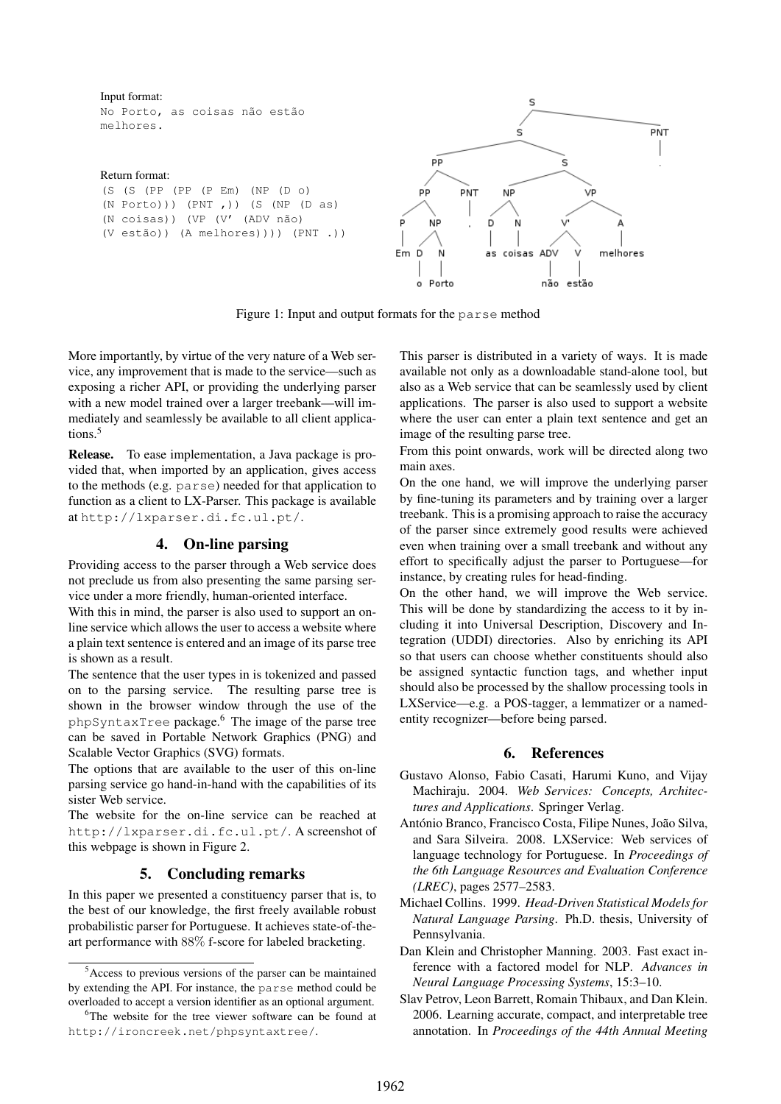Input format:

No Porto, as coisas não estão melhores.

#### Return format:

(S (S (PP (PP (P Em) (NP (D o) (N Porto))) (PNT ,)) (S (NP (D as) (N coisas)) (VP (V' (ADV não) (V estão)) (A melhores)))) (PNT .))



Figure 1: Input and output formats for the parse method

More importantly, by virtue of the very nature of a Web service, any improvement that is made to the service—such as exposing a richer API, or providing the underlying parser with a new model trained over a larger treebank—will immediately and seamlessly be available to all client applications.<sup>5</sup>

Release. To ease implementation, a Java package is provided that, when imported by an application, gives access to the methods (e.g. parse) needed for that application to function as a client to LX-Parser. This package is available at http://lxparser.di.fc.ul.pt/.

# 4. On-line parsing

Providing access to the parser through a Web service does not preclude us from also presenting the same parsing service under a more friendly, human-oriented interface.

With this in mind, the parser is also used to support an online service which allows the user to access a website where a plain text sentence is entered and an image of its parse tree is shown as a result.

The sentence that the user types in is tokenized and passed on to the parsing service. The resulting parse tree is shown in the browser window through the use of the phpSyntaxTree package.<sup>6</sup> The image of the parse tree can be saved in Portable Network Graphics (PNG) and Scalable Vector Graphics (SVG) formats.

The options that are available to the user of this on-line parsing service go hand-in-hand with the capabilities of its sister Web service.

The website for the on-line service can be reached at http://lxparser.di.fc.ul.pt/. A screenshot of this webpage is shown in Figure 2.

## 5. Concluding remarks

In this paper we presented a constituency parser that is, to the best of our knowledge, the first freely available robust probabilistic parser for Portuguese. It achieves state-of-theart performance with 88% f-score for labeled bracketing.

This parser is distributed in a variety of ways. It is made available not only as a downloadable stand-alone tool, but also as a Web service that can be seamlessly used by client applications. The parser is also used to support a website where the user can enter a plain text sentence and get an image of the resulting parse tree.

From this point onwards, work will be directed along two main axes.

On the one hand, we will improve the underlying parser by fine-tuning its parameters and by training over a larger treebank. This is a promising approach to raise the accuracy of the parser since extremely good results were achieved even when training over a small treebank and without any effort to specifically adjust the parser to Portuguese—for instance, by creating rules for head-finding.

On the other hand, we will improve the Web service. This will be done by standardizing the access to it by including it into Universal Description, Discovery and Integration (UDDI) directories. Also by enriching its API so that users can choose whether constituents should also be assigned syntactic function tags, and whether input should also be processed by the shallow processing tools in LXService—e.g. a POS-tagger, a lemmatizer or a namedentity recognizer—before being parsed.

## 6. References

- Gustavo Alonso, Fabio Casati, Harumi Kuno, and Vijay Machiraju. 2004. *Web Services: Concepts, Architectures and Applications*. Springer Verlag.
- António Branco, Francisco Costa, Filipe Nunes, João Silva, and Sara Silveira. 2008. LXService: Web services of language technology for Portuguese. In *Proceedings of the 6th Language Resources and Evaluation Conference (LREC)*, pages 2577–2583.
- Michael Collins. 1999. *Head-Driven Statistical Models for Natural Language Parsing*. Ph.D. thesis, University of Pennsylvania.
- Dan Klein and Christopher Manning. 2003. Fast exact inference with a factored model for NLP. *Advances in Neural Language Processing Systems*, 15:3–10.
- Slav Petrov, Leon Barrett, Romain Thibaux, and Dan Klein. 2006. Learning accurate, compact, and interpretable tree annotation. In *Proceedings of the 44th Annual Meeting*

<sup>5</sup>Access to previous versions of the parser can be maintained by extending the API. For instance, the parse method could be overloaded to accept a version identifier as an optional argument.

<sup>&</sup>lt;sup>6</sup>The website for the tree viewer software can be found at http://ironcreek.net/phpsyntaxtree/.